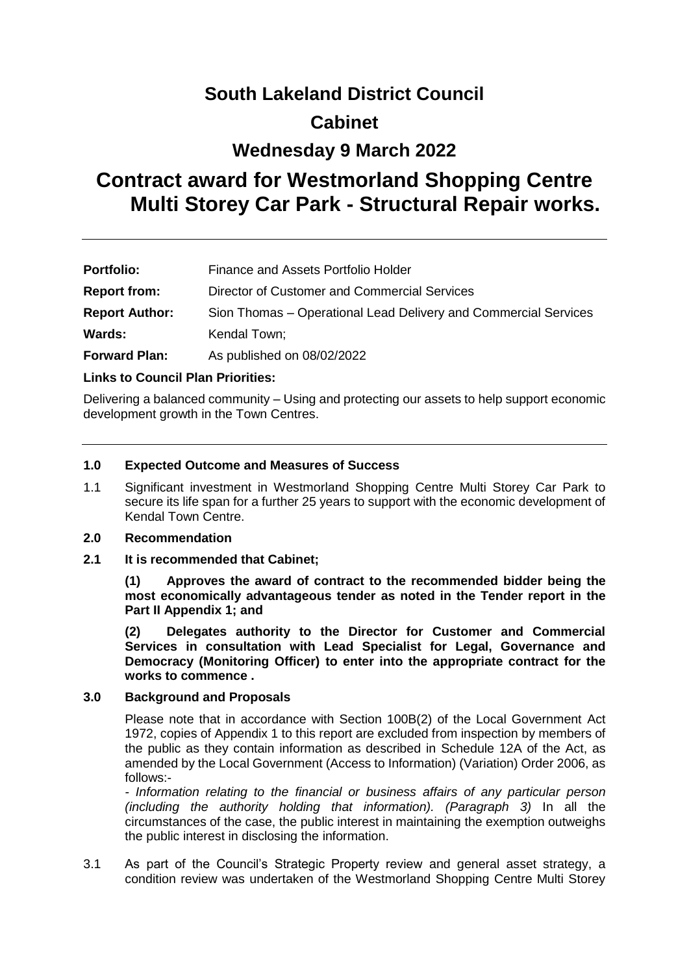# **South Lakeland District Council**

## **Cabinet**

## **Wednesday 9 March 2022**

## **Contract award for Westmorland Shopping Centre Multi Storey Car Park - Structural Repair works.**

| <b>Portfolio:</b>     | Finance and Assets Portfolio Holder                             |
|-----------------------|-----------------------------------------------------------------|
| <b>Report from:</b>   | Director of Customer and Commercial Services                    |
| <b>Report Author:</b> | Sion Thomas – Operational Lead Delivery and Commercial Services |
| Wards:                | Kendal Town;                                                    |
| <b>Forward Plan:</b>  | As published on 08/02/2022                                      |

#### **Links to Council Plan Priorities:**

Delivering a balanced community – Using and protecting our assets to help support economic development growth in the Town Centres.

#### **1.0 Expected Outcome and Measures of Success**

1.1 Significant investment in Westmorland Shopping Centre Multi Storey Car Park to secure its life span for a further 25 years to support with the economic development of Kendal Town Centre.

#### **2.0 Recommendation**

**2.1 It is recommended that Cabinet;**

**(1) Approves the award of contract to the recommended bidder being the most economically advantageous tender as noted in the Tender report in the Part II Appendix 1; and**

**(2) Delegates authority to the Director for Customer and Commercial Services in consultation with Lead Specialist for Legal, Governance and Democracy (Monitoring Officer) to enter into the appropriate contract for the works to commence .** 

#### **3.0 Background and Proposals**

Please note that in accordance with Section 100B(2) of the Local Government Act 1972, copies of Appendix 1 to this report are excluded from inspection by members of the public as they contain information as described in Schedule 12A of the Act, as amended by the Local Government (Access to Information) (Variation) Order 2006, as follows:-

*- Information relating to the financial or business affairs of any particular person (including the authority holding that information). (Paragraph 3)* In all the circumstances of the case, the public interest in maintaining the exemption outweighs the public interest in disclosing the information.

3.1 As part of the Council's Strategic Property review and general asset strategy, a condition review was undertaken of the Westmorland Shopping Centre Multi Storey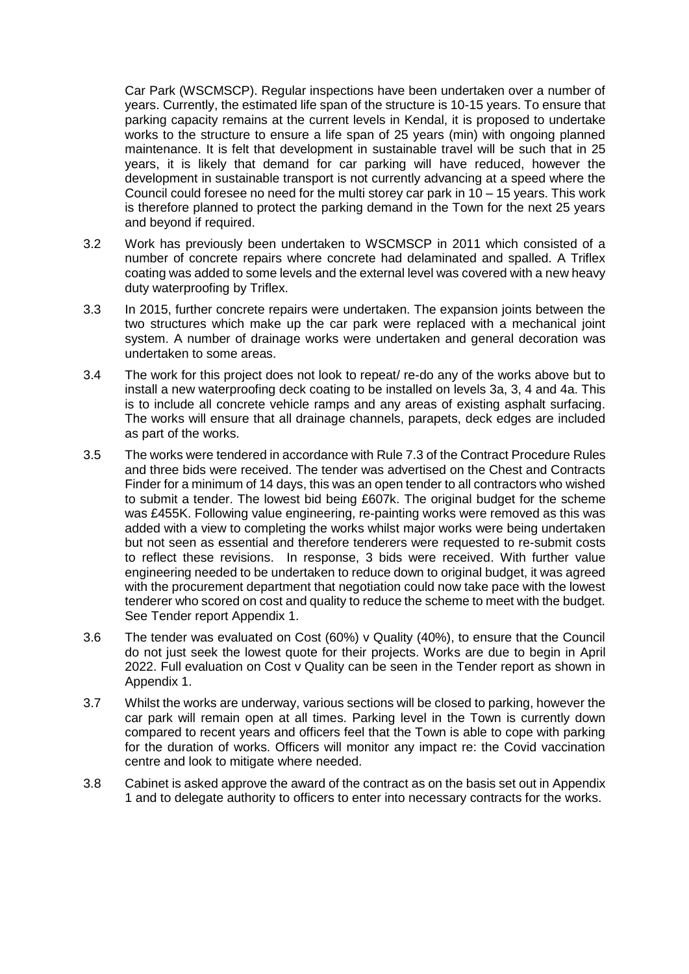Car Park (WSCMSCP). Regular inspections have been undertaken over a number of years. Currently, the estimated life span of the structure is 10-15 years. To ensure that parking capacity remains at the current levels in Kendal, it is proposed to undertake works to the structure to ensure a life span of 25 years (min) with ongoing planned maintenance. It is felt that development in sustainable travel will be such that in 25 years, it is likely that demand for car parking will have reduced, however the development in sustainable transport is not currently advancing at a speed where the Council could foresee no need for the multi storey car park in 10 – 15 years. This work is therefore planned to protect the parking demand in the Town for the next 25 years and beyond if required.

- 3.2 Work has previously been undertaken to WSCMSCP in 2011 which consisted of a number of concrete repairs where concrete had delaminated and spalled. A Triflex coating was added to some levels and the external level was covered with a new heavy duty waterproofing by Triflex.
- 3.3 In 2015, further concrete repairs were undertaken. The expansion joints between the two structures which make up the car park were replaced with a mechanical joint system. A number of drainage works were undertaken and general decoration was undertaken to some areas.
- 3.4 The work for this project does not look to repeat/ re-do any of the works above but to install a new waterproofing deck coating to be installed on levels 3a, 3, 4 and 4a. This is to include all concrete vehicle ramps and any areas of existing asphalt surfacing. The works will ensure that all drainage channels, parapets, deck edges are included as part of the works.
- 3.5 The works were tendered in accordance with Rule 7.3 of the Contract Procedure Rules and three bids were received. The tender was advertised on the Chest and Contracts Finder for a minimum of 14 days, this was an open tender to all contractors who wished to submit a tender. The lowest bid being £607k. The original budget for the scheme was £455K. Following value engineering, re-painting works were removed as this was added with a view to completing the works whilst major works were being undertaken but not seen as essential and therefore tenderers were requested to re-submit costs to reflect these revisions. In response, 3 bids were received. With further value engineering needed to be undertaken to reduce down to original budget, it was agreed with the procurement department that negotiation could now take pace with the lowest tenderer who scored on cost and quality to reduce the scheme to meet with the budget. See Tender report Appendix 1.
- 3.6 The tender was evaluated on Cost (60%) v Quality (40%), to ensure that the Council do not just seek the lowest quote for their projects. Works are due to begin in April 2022. Full evaluation on Cost v Quality can be seen in the Tender report as shown in Appendix 1.
- 3.7 Whilst the works are underway, various sections will be closed to parking, however the car park will remain open at all times. Parking level in the Town is currently down compared to recent years and officers feel that the Town is able to cope with parking for the duration of works. Officers will monitor any impact re: the Covid vaccination centre and look to mitigate where needed.
- 3.8 Cabinet is asked approve the award of the contract as on the basis set out in Appendix 1 and to delegate authority to officers to enter into necessary contracts for the works.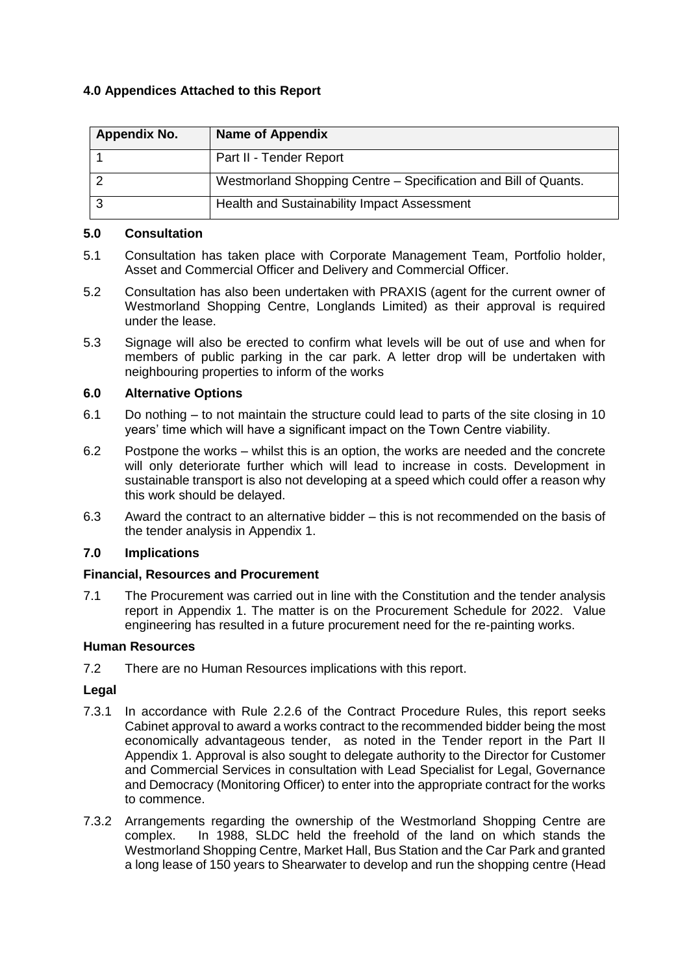### **4.0 Appendices Attached to this Report**

| <b>Appendix No.</b> | <b>Name of Appendix</b>                                         |
|---------------------|-----------------------------------------------------------------|
|                     | Part II - Tender Report                                         |
|                     | Westmorland Shopping Centre - Specification and Bill of Quants. |
|                     | Health and Sustainability Impact Assessment                     |

#### **5.0 Consultation**

- 5.1 Consultation has taken place with Corporate Management Team, Portfolio holder, Asset and Commercial Officer and Delivery and Commercial Officer.
- 5.2 Consultation has also been undertaken with PRAXIS (agent for the current owner of Westmorland Shopping Centre, Longlands Limited) as their approval is required under the lease.
- 5.3 Signage will also be erected to confirm what levels will be out of use and when for members of public parking in the car park. A letter drop will be undertaken with neighbouring properties to inform of the works

#### **6.0 Alternative Options**

- 6.1 Do nothing to not maintain the structure could lead to parts of the site closing in 10 years' time which will have a significant impact on the Town Centre viability.
- 6.2 Postpone the works whilst this is an option, the works are needed and the concrete will only deteriorate further which will lead to increase in costs. Development in sustainable transport is also not developing at a speed which could offer a reason why this work should be delayed.
- 6.3 Award the contract to an alternative bidder this is not recommended on the basis of the tender analysis in Appendix 1.

#### **7.0 Implications**

#### **Financial, Resources and Procurement**

7.1 The Procurement was carried out in line with the Constitution and the tender analysis report in Appendix 1. The matter is on the Procurement Schedule for 2022. Value engineering has resulted in a future procurement need for the re-painting works.

#### **Human Resources**

7.2 There are no Human Resources implications with this report.

#### **Legal**

- 7.3.1 In accordance with Rule 2.2.6 of the Contract Procedure Rules, this report seeks Cabinet approval to award a works contract to the recommended bidder being the most economically advantageous tender, as noted in the Tender report in the Part II Appendix 1. Approval is also sought to delegate authority to the Director for Customer and Commercial Services in consultation with Lead Specialist for Legal, Governance and Democracy (Monitoring Officer) to enter into the appropriate contract for the works to commence.
- 7.3.2 Arrangements regarding the ownership of the Westmorland Shopping Centre are complex. In 1988, SLDC held the freehold of the land on which stands the Westmorland Shopping Centre, Market Hall, Bus Station and the Car Park and granted a long lease of 150 years to Shearwater to develop and run the shopping centre (Head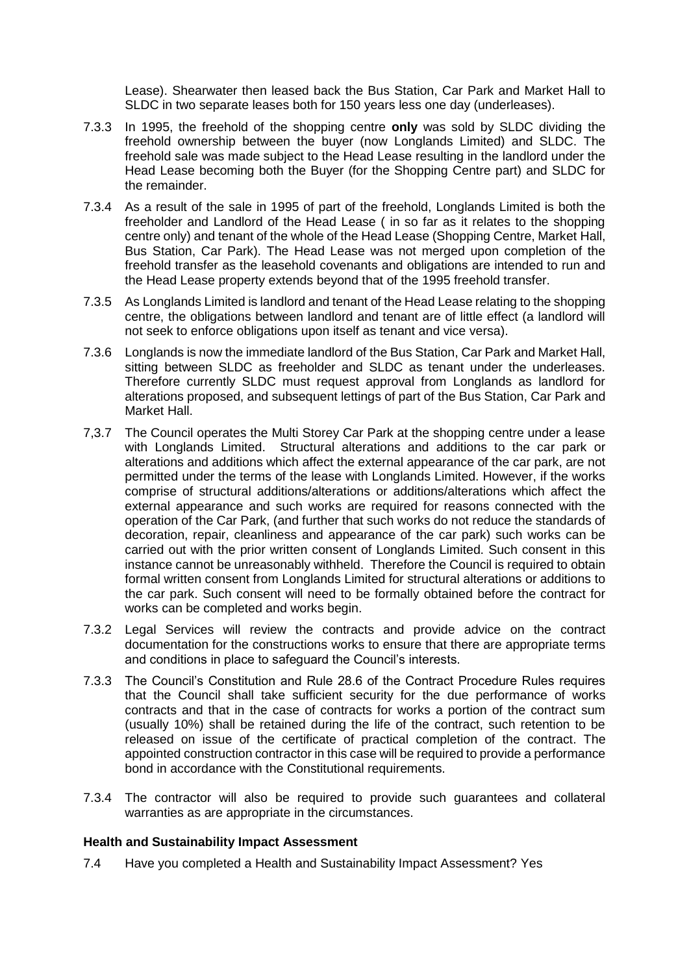Lease). Shearwater then leased back the Bus Station, Car Park and Market Hall to SLDC in two separate leases both for 150 years less one day (underleases).

- 7.3.3 In 1995, the freehold of the shopping centre **only** was sold by SLDC dividing the freehold ownership between the buyer (now Longlands Limited) and SLDC. The freehold sale was made subject to the Head Lease resulting in the landlord under the Head Lease becoming both the Buyer (for the Shopping Centre part) and SLDC for the remainder.
- 7.3.4 As a result of the sale in 1995 of part of the freehold, Longlands Limited is both the freeholder and Landlord of the Head Lease ( in so far as it relates to the shopping centre only) and tenant of the whole of the Head Lease (Shopping Centre, Market Hall, Bus Station, Car Park). The Head Lease was not merged upon completion of the freehold transfer as the leasehold covenants and obligations are intended to run and the Head Lease property extends beyond that of the 1995 freehold transfer.
- 7.3.5 As Longlands Limited is landlord and tenant of the Head Lease relating to the shopping centre, the obligations between landlord and tenant are of little effect (a landlord will not seek to enforce obligations upon itself as tenant and vice versa).
- 7.3.6 Longlands is now the immediate landlord of the Bus Station, Car Park and Market Hall, sitting between SLDC as freeholder and SLDC as tenant under the underleases. Therefore currently SLDC must request approval from Longlands as landlord for alterations proposed, and subsequent lettings of part of the Bus Station, Car Park and Market Hall.
- 7,3.7 The Council operates the Multi Storey Car Park at the shopping centre under a lease with Longlands Limited. Structural alterations and additions to the car park or alterations and additions which affect the external appearance of the car park, are not permitted under the terms of the lease with Longlands Limited. However, if the works comprise of structural additions/alterations or additions/alterations which affect the external appearance and such works are required for reasons connected with the operation of the Car Park, (and further that such works do not reduce the standards of decoration, repair, cleanliness and appearance of the car park) such works can be carried out with the prior written consent of Longlands Limited. Such consent in this instance cannot be unreasonably withheld. Therefore the Council is required to obtain formal written consent from Longlands Limited for structural alterations or additions to the car park. Such consent will need to be formally obtained before the contract for works can be completed and works begin.
- 7.3.2 Legal Services will review the contracts and provide advice on the contract documentation for the constructions works to ensure that there are appropriate terms and conditions in place to safeguard the Council's interests.
- 7.3.3 The Council's Constitution and Rule 28.6 of the Contract Procedure Rules requires that the Council shall take sufficient security for the due performance of works contracts and that in the case of contracts for works a portion of the contract sum (usually 10%) shall be retained during the life of the contract, such retention to be released on issue of the certificate of practical completion of the contract. The appointed construction contractor in this case will be required to provide a performance bond in accordance with the Constitutional requirements.
- 7.3.4 The contractor will also be required to provide such guarantees and collateral warranties as are appropriate in the circumstances.

#### **Health and Sustainability Impact Assessment**

7.4 Have you completed a Health and Sustainability Impact Assessment? Yes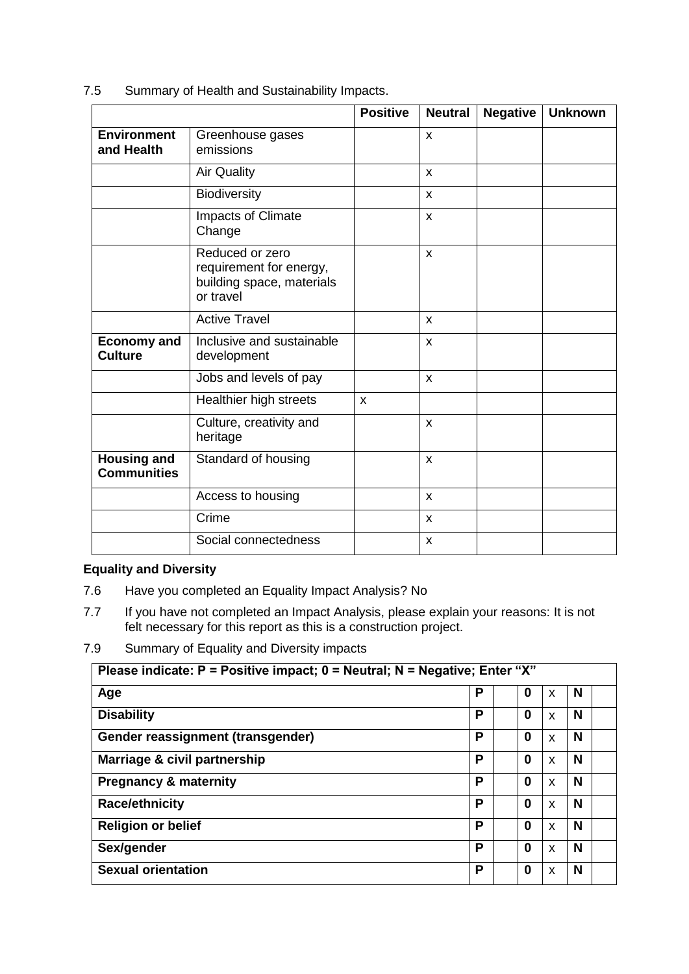7.5 Summary of Health and Sustainability Impacts.

|                                          |                                                                                      | <b>Positive</b> | <b>Neutral</b> | <b>Negative</b> | <b>Unknown</b> |
|------------------------------------------|--------------------------------------------------------------------------------------|-----------------|----------------|-----------------|----------------|
| <b>Environment</b><br>and Health         | Greenhouse gases<br>emissions                                                        |                 | X              |                 |                |
|                                          | <b>Air Quality</b>                                                                   |                 | $\mathsf{x}$   |                 |                |
|                                          | Biodiversity                                                                         |                 | X              |                 |                |
|                                          | Impacts of Climate<br>Change                                                         |                 | $\mathsf{x}$   |                 |                |
|                                          | Reduced or zero<br>requirement for energy,<br>building space, materials<br>or travel |                 | $\mathsf{x}$   |                 |                |
|                                          | <b>Active Travel</b>                                                                 |                 | $\mathsf{x}$   |                 |                |
| <b>Economy and</b><br><b>Culture</b>     | Inclusive and sustainable<br>development                                             |                 | X              |                 |                |
|                                          | Jobs and levels of pay                                                               |                 | $\mathsf{x}$   |                 |                |
|                                          | Healthier high streets                                                               | X               |                |                 |                |
|                                          | Culture, creativity and<br>heritage                                                  |                 | $\mathsf{x}$   |                 |                |
| <b>Housing and</b><br><b>Communities</b> | Standard of housing                                                                  |                 | $\pmb{\times}$ |                 |                |
|                                          | Access to housing                                                                    |                 | $\pmb{\times}$ |                 |                |
|                                          | Crime                                                                                |                 | X              |                 |                |
|                                          | Social connectedness                                                                 |                 | X              |                 |                |

## **Equality and Diversity**

- 7.6 Have you completed an Equality Impact Analysis? No
- 7.7 If you have not completed an Impact Analysis, please explain your reasons: It is not felt necessary for this report as this is a construction project.
- 7.9 Summary of Equality and Diversity impacts

| Please indicate: $P =$ Positive impact; $0 =$ Neutral; N = Negative; Enter "X" |   |  |   |   |   |  |
|--------------------------------------------------------------------------------|---|--|---|---|---|--|
| Age                                                                            | Р |  | 0 | X | N |  |
| <b>Disability</b>                                                              | Р |  | 0 | X | N |  |
| Gender reassignment (transgender)                                              | Р |  | 0 | X | N |  |
| Marriage & civil partnership                                                   | Р |  | 0 | X | N |  |
| <b>Pregnancy &amp; maternity</b>                                               | P |  | 0 | X | N |  |
| <b>Race/ethnicity</b>                                                          | Р |  | 0 | X | N |  |
| <b>Religion or belief</b>                                                      | Р |  | 0 | X | N |  |
| Sex/gender                                                                     | P |  | 0 | X | N |  |
| <b>Sexual orientation</b>                                                      | Р |  | 0 | X | N |  |